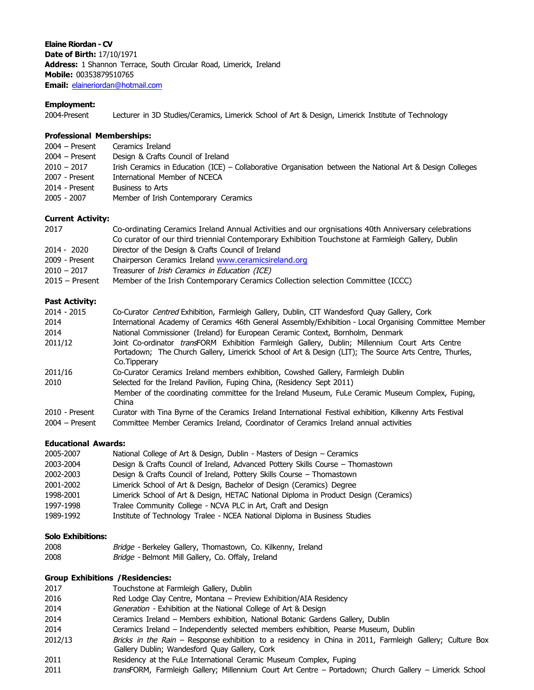**Elaine Riordan - CV Date of Birth:** 17/10/1971 **Address:** 1 Shannon Terrace, South Circular Road, Limerick, Ireland **Mobile:** 00353879510765 **Email:** elaineriordan@hotmail.com

## **Employment:**

2004-Present Lecturer in 3D Studies/Ceramics, Limerick School of Art & Design, Limerick Institute of Technology

#### **Professional Memberships:**

| $2004 -$ Present | Ceramics Ireland                                                                                          |
|------------------|-----------------------------------------------------------------------------------------------------------|
| $2004 -$ Present | Design & Crafts Council of Ireland                                                                        |
| $2010 - 2017$    | Irish Ceramics in Education (ICE) – Collaborative Organisation between the National Art & Design Colleges |
| 2007 - Present   | International Member of NCECA                                                                             |
| 2014 - Present   | Business to Arts                                                                                          |
| 2005 - 2007      | Member of Irish Contemporary Ceramics                                                                     |

## **Current Activity:**

| 2017             | Co-ordinating Ceramics Ireland Annual Activities and our orgnisations 40th Anniversary celebrations |
|------------------|-----------------------------------------------------------------------------------------------------|
|                  | Co curator of our third triennial Contemporary Exhibition Touchstone at Farmleigh Gallery, Dublin   |
| 2014 - 2020      | Director of the Design & Crafts Council of Ireland                                                  |
| 2009 - Present   | Chairperson Ceramics Ireland www.ceramicsireland.org                                                |
| $2010 - 2017$    | Treasurer of Irish Ceramics in Education (ICE)                                                      |
| $2015 -$ Present | Member of the Irish Contemporary Ceramics Collection selection Committee (ICCC)                     |

## **Past Activity:**

| $2014 - 2015$    | Co-Curator Centred Exhibition, Farmleigh Gallery, Dublin, CIT Wandesford Quay Gallery, Cork                                                                                                                                       |
|------------------|-----------------------------------------------------------------------------------------------------------------------------------------------------------------------------------------------------------------------------------|
| 2014             | International Academy of Ceramics 46th General Assembly/Exhibition - Local Organising Committee Member                                                                                                                            |
| 2014             | National Commissioner (Ireland) for European Ceramic Context, Bornholm, Denmark                                                                                                                                                   |
| 2011/12          | Joint Co-ordinator <i>trans</i> FORM Exhibition Farmleigh Gallery, Dublin; Millennium Court Arts Centre<br>Portadown; The Church Gallery, Limerick School of Art & Design (LIT); The Source Arts Centre, Thurles,<br>Co.Tipperary |
| 2011/16          | Co-Curator Ceramics Ireland members exhibition, Cowshed Gallery, Farmleigh Dublin                                                                                                                                                 |
| 2010             | Selected for the Ireland Pavilion, Fuping China, (Residency Sept 2011)                                                                                                                                                            |
|                  | Member of the coordinating committee for the Ireland Museum, FuLe Ceramic Museum Complex, Fuping,<br>China                                                                                                                        |
| 2010 - Present   | Curator with Tina Byrne of the Ceramics Ireland International Festival exhibition, Kilkenny Arts Festival                                                                                                                         |
| $2004 -$ Present | Committee Member Ceramics Ireland, Coordinator of Ceramics Ireland annual activities                                                                                                                                              |

# **Educational Awards:**

| 2005-2007 | National College of Art & Design, Dublin - Masters of Design - Ceramics              |
|-----------|--------------------------------------------------------------------------------------|
| 2003-2004 | Design & Crafts Council of Ireland, Advanced Pottery Skills Course - Thomastown      |
| 2002-2003 | Design & Crafts Council of Ireland, Pottery Skills Course – Thomastown               |
| 2001-2002 | Limerick School of Art & Design, Bachelor of Design (Ceramics) Degree                |
| 1998-2001 | Limerick School of Art & Design, HETAC National Diploma in Product Design (Ceramics) |
| 1997-1998 | Tralee Community College - NCVA PLC in Art, Craft and Design                         |
| 1989-1992 | Institute of Technology Tralee - NCEA National Diploma in Business Studies           |

## **Solo Exhibitions:**

| 2008 | <i>Bridge - Berkeley Gallery, Thomastown, Co. Kilkenny, Ireland</i> |
|------|---------------------------------------------------------------------|
| 2008 | Bridge - Belmont Mill Gallery, Co. Offaly, Ireland                  |

## **Group Exhibitions /Residencies:**

| 2017    | Touchstone at Farmleigh Gallery, Dublin                                                                                                                   |
|---------|-----------------------------------------------------------------------------------------------------------------------------------------------------------|
| 2016    | Red Lodge Clay Centre, Montana - Preview Exhibition/AIA Residency                                                                                         |
| 2014    | Generation - Exhibition at the National College of Art & Design                                                                                           |
| 2014    | Ceramics Ireland – Members exhibition, National Botanic Gardens Gallery, Dublin                                                                           |
| 2014    | Ceramics Ireland - Independently selected members exhibition, Pearse Museum, Dublin                                                                       |
| 2012/13 | Bricks in the Rain - Response exhibition to a residency in China in 2011, Farmleigh Gallery; Culture Box<br>Gallery Dublin; Wandesford Quay Gallery, Cork |
| 2011    | Residency at the FuLe International Ceramic Museum Complex, Fuping                                                                                        |
| 2011    | transFORM, Farmleigh Gallery; Millennium Court Art Centre - Portadown; Church Gallery - Limerick School                                                   |
|         |                                                                                                                                                           |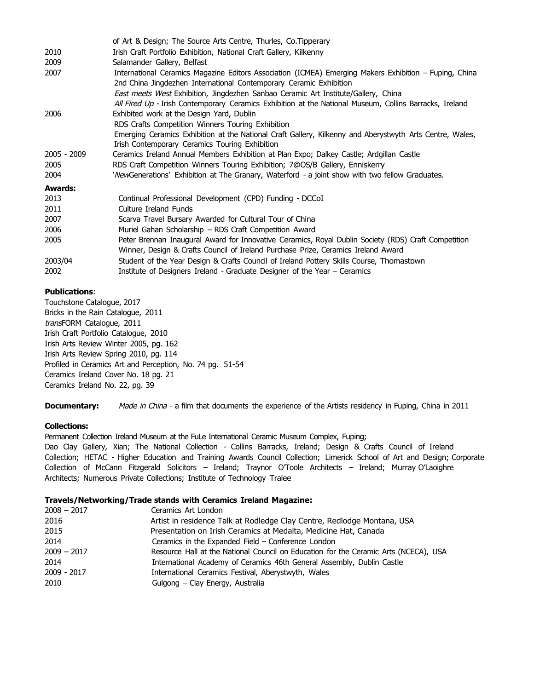|               | of Art & Design; The Source Arts Centre, Thurles, Co. Tipperary                                          |
|---------------|----------------------------------------------------------------------------------------------------------|
| 2010          | Irish Craft Portfolio Exhibition, National Craft Gallery, Kilkenny                                       |
| 2009          | Salamander Gallery, Belfast                                                                              |
| 2007          | International Ceramics Magazine Editors Association (ICMEA) Emerging Makers Exhibition – Fuping, China   |
|               | 2nd China Jingdezhen International Contemporary Ceramic Exhibition                                       |
|               | East meets West Exhibition, Jingdezhen Sanbao Ceramic Art Institute/Gallery, China                       |
|               | All Fired Up - Irish Contemporary Ceramics Exhibition at the National Museum, Collins Barracks, Ireland  |
| 2006          | Exhibited work at the Design Yard, Dublin                                                                |
|               | RDS Crafts Competition Winners Touring Exhibition                                                        |
|               | Emerging Ceramics Exhibition at the National Craft Gallery, Kilkenny and Aberystwyth Arts Centre, Wales, |
|               | Irish Contemporary Ceramics Touring Exhibition                                                           |
| $2005 - 2009$ | Ceramics Ireland Annual Members Exhibition at Plan Expo; Dalkey Castle; Ardgillan Castle                 |
| 2005          | RDS Craft Competition Winners Touring Exhibition; 7@OS/B Gallery, Enniskerry                             |
| 2004          | ' <i>New</i> Generations' Exhibition at The Granary, Waterford - a joint show with two fellow Graduates. |
| Awards:       |                                                                                                          |
| 2013          | Continual Professional Development (CPD) Funding - DCCoI                                                 |
| 2011          | Culture Ireland Funds                                                                                    |
| 2007          | Scarva Travel Bursary Awarded for Cultural Tour of China                                                 |
| 2006          | Muriel Gahan Scholarship - RDS Craft Competition Award                                                   |
| 2005          | Peter Brennan Inaugural Award for Innovative Ceramics, Royal Dublin Society (RDS) Craft Competition      |
|               | Winner, Design & Crafts Council of Ireland Purchase Prize, Ceramics Ireland Award                        |
| 2003/04       | Student of the Year Design & Crafts Council of Ireland Pottery Skills Course, Thomastown                 |
| 2002          | Institute of Designers Ireland - Graduate Designer of the Year – Ceramics                                |

## **Publications**:

Touchstone Catalogue, 2017 Bricks in the Rain Catalogue, 2011 transFORM Catalogue, 2011 Irish Craft Portfolio Catalogue, 2010 Irish Arts Review Winter 2005, pg. 162 Irish Arts Review Spring 2010, pg. 114 Profiled in Ceramics Art and Perception, No. 74 pg. 51-54 Ceramics Ireland Cover No. 18 pg. 21 Ceramics Ireland No. 22, pg. 39

**Documentary:** Made in China - a film that documents the experience of the Artists residency in Fuping, China in 2011

## **Collections:**

Permanent Collection Ireland Museum at the FuLe International Ceramic Museum Complex, Fuping; Dao Clay Gallery, Xian; The National Collection - Collins Barracks, Ireland; Design & Crafts Council of Ireland Collection; HETAC - Higher Education and Training Awards Council Collection; Limerick School of Art and Design; Corporate Collection of McCann Fitzgerald Solicitors – Ireland; Traynor O'Toole Architects – Ireland; Murray O'Laoighre Architects; Numerous Private Collections; Institute of Technology Tralee

## **Travels/Networking/Trade stands with Ceramics Ireland Magazine:**

| $2008 - 2017$ | Ceramics Art London                                                                  |
|---------------|--------------------------------------------------------------------------------------|
| 2016          | Artist in residence Talk at Rodledge Clay Centre, Redlodge Montana, USA              |
| 2015          | Presentation on Irish Ceramics at Medalta, Medicine Hat, Canada                      |
| 2014          | Ceramics in the Expanded Field $-$ Conference London                                 |
| $2009 - 2017$ | Resource Hall at the National Council on Education for the Ceramic Arts (NCECA), USA |
| 2014          | International Academy of Ceramics 46th General Assembly, Dublin Castle               |
| 2009 - 2017   | International Ceramics Festival, Aberystwyth, Wales                                  |
| 2010          | Gulgong – Clay Energy, Australia                                                     |
|               |                                                                                      |